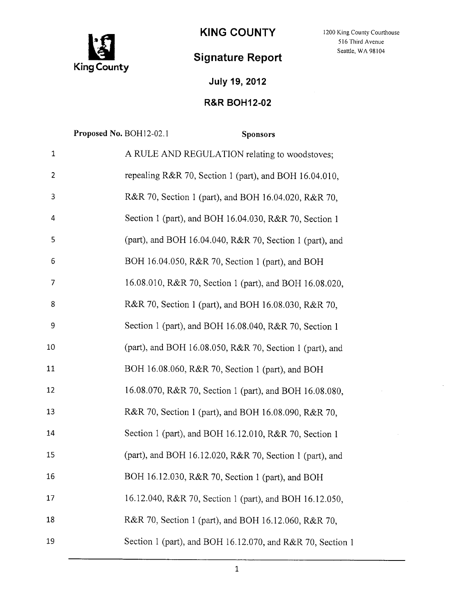

## **Signature Report**

KING COUNTY 1200 King County Courthouse 3 516 Third Avenue Seattle, WA 98104

## **July 19, 2012**

## **R&R BOHI2-02**

|                | Proposed No. BOH12-02.1 |                                                            | <b>Sponsors</b> |  |
|----------------|-------------------------|------------------------------------------------------------|-----------------|--|
| $\mathbf 1$    |                         | A RULE AND REGULATION relating to woodstoves;              |                 |  |
| $\overline{2}$ |                         | repealing R&R 70, Section 1 (part), and BOH 16.04.010,     |                 |  |
| 3              |                         | R&R 70, Section 1 (part), and BOH 16.04.020, R&R 70,       |                 |  |
| 4              |                         | Section 1 (part), and BOH 16.04.030, R&R 70, Section 1     |                 |  |
| 5              |                         | (part), and BOH 16.04.040, R&R 70, Section 1 (part), and   |                 |  |
| 6              |                         | BOH 16.04.050, R&R 70, Section 1 (part), and BOH           |                 |  |
| 7              |                         | 16.08.010, R&R 70, Section 1 (part), and BOH 16.08.020,    |                 |  |
| 8              |                         | R&R 70, Section 1 (part), and BOH 16.08.030, R&R 70,       |                 |  |
| 9              |                         | Section 1 (part), and BOH 16.08.040, R&R 70, Section 1     |                 |  |
| 10             |                         | (part), and BOH 16.08.050, R&R 70, Section 1 (part), and   |                 |  |
| 11             |                         | BOH 16.08.060, R&R 70, Section 1 (part), and BOH           |                 |  |
| 12             |                         | 16.08.070, R&R 70, Section 1 (part), and BOH 16.08.080,    |                 |  |
| 13             |                         | R&R 70, Section 1 (part), and BOH 16.08.090, R&R 70,       |                 |  |
| 14             |                         | Section 1 (part), and BOH 16.12.010, R&R 70, Section 1     |                 |  |
| 15             |                         | (part), and BOH 16.12.020, R&R 70, Section 1 (part), and   |                 |  |
| 16             |                         | BOH 16.12.030, R&R 70, Section 1 (part), and BOH           |                 |  |
| 17             |                         | 16.12.040, R&R 70, Section 1 (part), and BOH 16.12.050,    |                 |  |
| 18             |                         | R&R 70, Section 1 (part), and BOH 16.12.060, R&R 70,       |                 |  |
| 19             |                         | Section 1 (part), and BOH 16.12.070, and R&R 70, Section 1 |                 |  |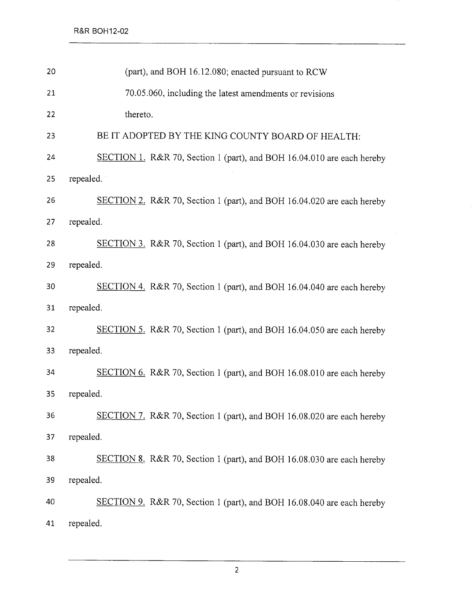| 20 | (part), and BOH 16.12.080; enacted pursuant to RCW                     |  |  |
|----|------------------------------------------------------------------------|--|--|
| 21 | 70.05.060, including the latest amendments or revisions                |  |  |
| 22 | thereto.                                                               |  |  |
| 23 | BE IT ADOPTED BY THE KING COUNTY BOARD OF HEALTH:                      |  |  |
| 24 | SECTION 1. R&R 70, Section 1 (part), and BOH 16.04.010 are each hereby |  |  |
| 25 | repealed.                                                              |  |  |
| 26 | SECTION 2. R&R 70, Section 1 (part), and BOH 16.04.020 are each hereby |  |  |
| 27 | repealed.                                                              |  |  |
| 28 | SECTION 3. R&R 70, Section 1 (part), and BOH 16.04.030 are each hereby |  |  |
| 29 | repealed.                                                              |  |  |
| 30 | SECTION 4. R&R 70, Section 1 (part), and BOH 16.04.040 are each hereby |  |  |
| 31 | repealed.                                                              |  |  |
| 32 | SECTION 5. R&R 70, Section 1 (part), and BOH 16.04.050 are each hereby |  |  |
| 33 | repealed.                                                              |  |  |
| 34 | SECTION 6. R&R 70, Section 1 (part), and BOH 16.08.010 are each hereby |  |  |
| 35 | repealed.                                                              |  |  |
| 36 | SECTION 7. R&R 70, Section 1 (part), and BOH 16.08.020 are each hereby |  |  |
| 37 | repealed.                                                              |  |  |
| 38 | SECTION 8. R&R 70, Section 1 (part), and BOH 16.08.030 are each hereby |  |  |
| 39 | repealed.                                                              |  |  |
| 40 | SECTION 9. R&R 70, Section 1 (part), and BOH 16.08.040 are each hereby |  |  |
| 41 | repealed.                                                              |  |  |

 $\sim$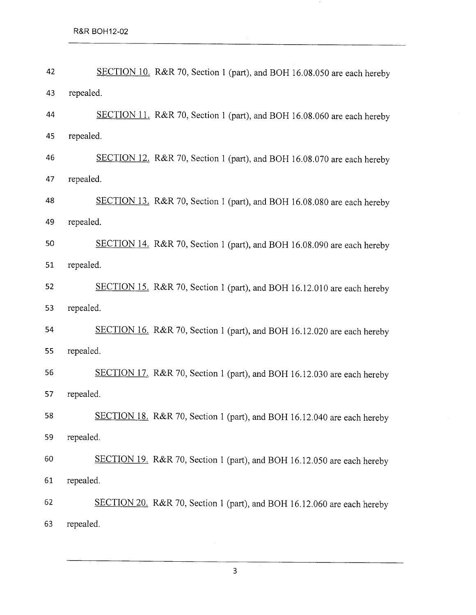| 42 | SECTION 10. R&R 70, Section 1 (part), and BOH 16.08.050 are each hereby |  |  |
|----|-------------------------------------------------------------------------|--|--|
| 43 | repealed.                                                               |  |  |
| 44 | SECTION 11. R&R 70, Section 1 (part), and BOH 16.08.060 are each hereby |  |  |
| 45 | repealed.                                                               |  |  |
| 46 | SECTION 12. R&R 70, Section 1 (part), and BOH 16.08.070 are each hereby |  |  |
| 47 | repealed.                                                               |  |  |
| 48 | SECTION 13. R&R 70, Section 1 (part), and BOH 16.08.080 are each hereby |  |  |
| 49 | repealed.                                                               |  |  |
| 50 | SECTION 14. R&R 70, Section 1 (part), and BOH 16.08.090 are each hereby |  |  |
| 51 | repealed.                                                               |  |  |
| 52 | SECTION 15. R&R 70, Section 1 (part), and BOH 16.12.010 are each hereby |  |  |
| 53 | repealed.                                                               |  |  |
| 54 | SECTION 16. R&R 70, Section 1 (part), and BOH 16.12.020 are each hereby |  |  |
| 55 | repealed.                                                               |  |  |
| 56 | SECTION 17. R&R 70, Section 1 (part), and BOH 16.12.030 are each hereby |  |  |
| 57 | repealed.                                                               |  |  |
| 58 | SECTION 18. R&R 70, Section 1 (part), and BOH 16.12.040 are each hereby |  |  |
| 59 | repealed.                                                               |  |  |
| 60 | SECTION 19. R&R 70, Section 1 (part), and BOH 16.12.050 are each hereby |  |  |
| 61 | repealed.                                                               |  |  |
| 62 | SECTION 20. R&R 70, Section 1 (part), and BOH 16.12.060 are each hereby |  |  |
| 63 | repealed.                                                               |  |  |

3